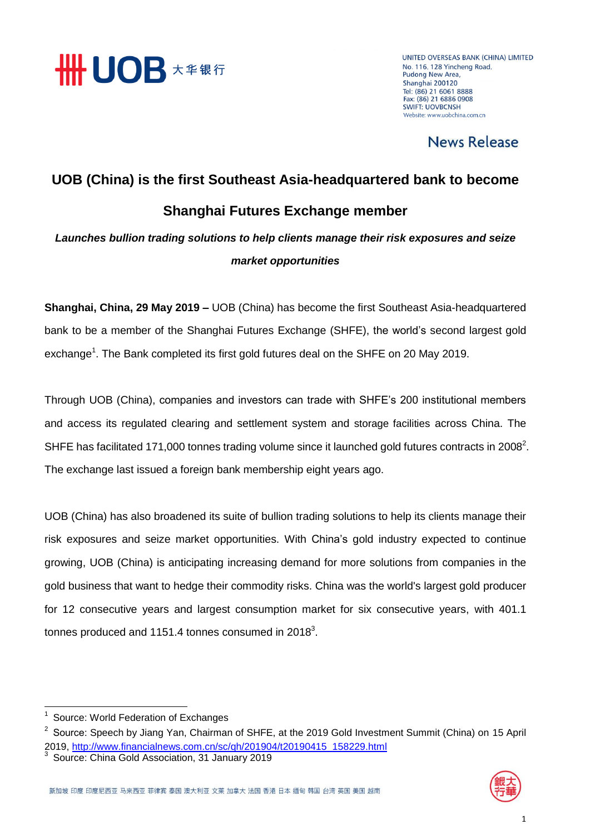

UNITED OVERSEAS BANK (CHINA) LIMITED No. 116, 128 Yincheng Road, **Pudong New Area,** Shanghai 200120 Tel: (86) 21 6061 8888<br>Fax: (86) 21 6886 0908 **SWIFT: LIOVRCNSH** Website: www.uobchina.com.cn

### News Release

## **UOB (China) is the first Southeast Asia-headquartered bank to become Shanghai Futures Exchange member**

*Launches bullion trading solutions to help clients manage their risk exposures and seize market opportunities*

**Shanghai, China, 29 May 2019 –** UOB (China) has become the first Southeast Asia-headquartered bank to be a member of the Shanghai Futures Exchange (SHFE), the world's second largest gold exchange<sup>1</sup>. The Bank completed its first gold futures deal on the SHFE on 20 May 2019.

Through UOB (China), companies and investors can trade with SHFE's 200 institutional members and access its regulated clearing and settlement system and storage facilities across China. The SHFE has facilitated 171,000 tonnes trading volume since it launched gold futures contracts in 2008<sup>2</sup>. The exchange last issued a foreign bank membership eight years ago.

UOB (China) has also broadened its suite of bullion trading solutions to help its clients manage their risk exposures and seize market opportunities. With China's gold industry expected to continue growing, UOB (China) is anticipating increasing demand for more solutions from companies in the gold business that want to hedge their commodity risks. China was the world's largest gold producer for 12 consecutive years and largest consumption market for six consecutive years, with 401.1 tonnes produced and 1151.4 tonnes consumed in 2018 $^3$ .



 1 Source: World Federation of Exchanges

<sup>&</sup>lt;sup>2</sup> Source: Speech by Jiang Yan, Chairman of SHFE, at the 2019 Gold Investment Summit (China) on 15 April 2019, [http://www.financialnews.com.cn/sc/qh/201904/t20190415\\_158229.html](http://www.financialnews.com.cn/sc/qh/201904/t20190415_158229.html) 3

Source: China Gold Association, 31 January 2019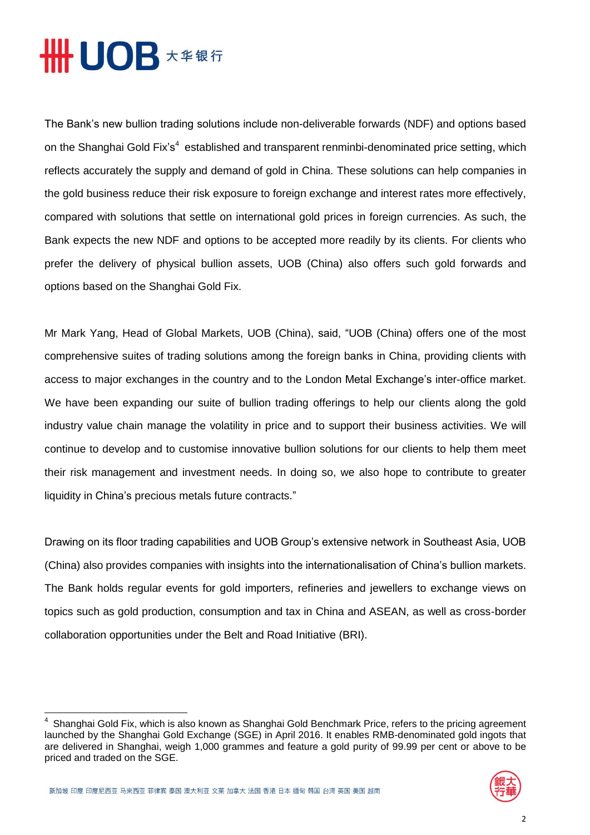# **HHUOB \*\*\*\***

The Bank's new bullion trading solutions include non-deliverable forwards (NDF) and options based on the Shanghai Gold Fix's<sup>4</sup> established and transparent renminbi-denominated price setting, which reflects accurately the supply and demand of gold in China. These solutions can help companies in the gold business reduce their risk exposure to foreign exchange and interest rates more effectively, compared with solutions that settle on international gold prices in foreign currencies. As such, the Bank expects the new NDF and options to be accepted more readily by its clients. For clients who prefer the delivery of physical bullion assets, UOB (China) also offers such gold forwards and options based on the Shanghai Gold Fix.

Mr Mark Yang, Head of Global Markets, UOB (China), said, "UOB (China) offers one of the most comprehensive suites of trading solutions among the foreign banks in China, providing clients with access to major exchanges in the country and to the London Metal Exchange's inter-office market. We have been expanding our suite of bullion trading offerings to help our clients along the gold industry value chain manage the volatility in price and to support their business activities. We will continue to develop and to customise innovative bullion solutions for our clients to help them meet their risk management and investment needs. In doing so, we also hope to contribute to greater liquidity in China's precious metals future contracts."

Drawing on its floor trading capabilities and UOB Group's extensive network in Southeast Asia, UOB (China) also provides companies with insights into the internationalisation of China's bullion markets. The Bank holds regular events for gold importers, refineries and jewellers to exchange views on topics such as gold production, consumption and tax in China and ASEAN, as well as cross-border collaboration opportunities under the Belt and Road Initiative (BRI).

<sup>4</sup> Shanghai Gold Fix, which is also known as Shanghai Gold Benchmark Price, refers to the pricing agreement launched by the Shanghai Gold Exchange (SGE) in April 2016. It enables RMB-denominated gold ingots that are delivered in Shanghai, weigh 1,000 grammes and feature a gold purity of 99.99 per cent or above to be priced and traded on the SGE.



**.**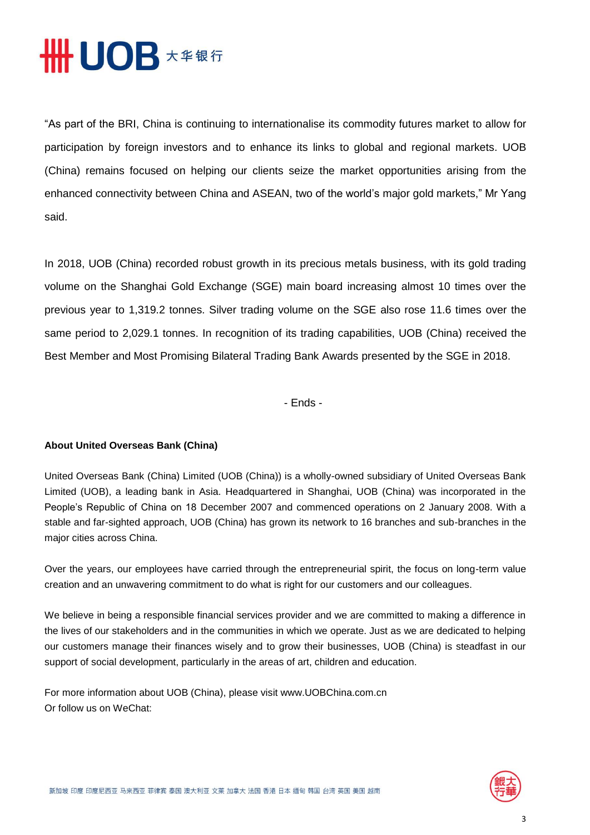

"As part of the BRI, China is continuing to internationalise its commodity futures market to allow for participation by foreign investors and to enhance its links to global and regional markets. UOB (China) remains focused on helping our clients seize the market opportunities arising from the enhanced connectivity between China and ASEAN, two of the world's major gold markets," Mr Yang said.

In 2018, UOB (China) recorded robust growth in its precious metals business, with its gold trading volume on the Shanghai Gold Exchange (SGE) main board increasing almost 10 times over the previous year to 1,319.2 tonnes. Silver trading volume on the SGE also rose 11.6 times over the same period to 2,029.1 tonnes. In recognition of its trading capabilities, UOB (China) received the Best Member and Most Promising Bilateral Trading Bank Awards presented by the SGE in 2018.

- Ends -

#### **About United Overseas Bank (China)**

United Overseas Bank (China) Limited (UOB (China)) is a wholly-owned subsidiary of United Overseas Bank Limited (UOB), a leading bank in Asia. Headquartered in Shanghai, UOB (China) was incorporated in the People's Republic of China on 18 December 2007 and commenced operations on 2 January 2008. With a stable and far-sighted approach, UOB (China) has grown its network to 16 branches and sub-branches in the major cities across China.

Over the years, our employees have carried through the entrepreneurial spirit, the focus on long-term value creation and an unwavering commitment to do what is right for our customers and our colleagues.

We believe in being a responsible financial services provider and we are committed to making a difference in the lives of our stakeholders and in the communities in which we operate. Just as we are dedicated to helping our customers manage their finances wisely and to grow their businesses, UOB (China) is steadfast in our support of social development, particularly in the areas of art, children and education.

For more information about UOB (China), please visit www.UOBChina.com.cn Or follow us on WeChat: